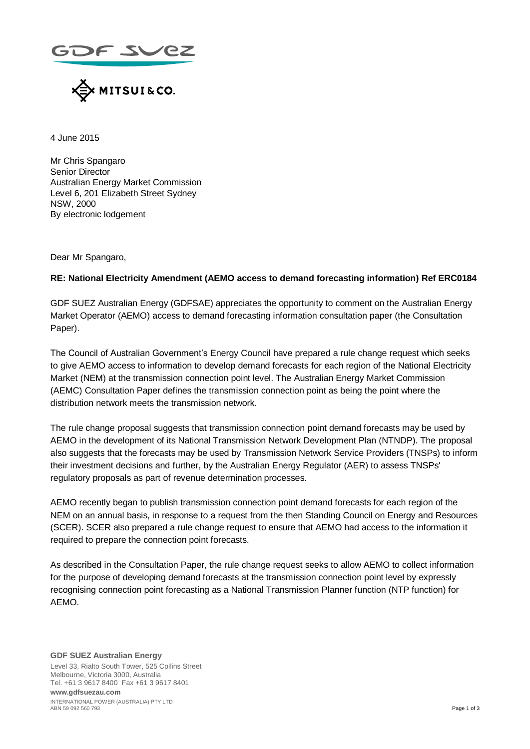



4 June 2015

Mr Chris Spangaro Senior Director Australian Energy Market Commission Level 6, 201 Elizabeth Street Sydney NSW, 2000 By electronic lodgement

Dear Mr Spangaro,

## **RE: National Electricity Amendment (AEMO access to demand forecasting information) Ref ERC0184**

GDF SUEZ Australian Energy (GDFSAE) appreciates the opportunity to comment on the Australian Energy Market Operator (AEMO) access to demand forecasting information consultation paper (the Consultation Paper).

The Council of Australian Government's Energy Council have prepared a rule change request which seeks to give AEMO access to information to develop demand forecasts for each region of the National Electricity Market (NEM) at the transmission connection point level. The Australian Energy Market Commission (AEMC) Consultation Paper defines the transmission connection point as being the point where the distribution network meets the transmission network.

The rule change proposal suggests that transmission connection point demand forecasts may be used by AEMO in the development of its National Transmission Network Development Plan (NTNDP). The proposal also suggests that the forecasts may be used by Transmission Network Service Providers (TNSPs) to inform their investment decisions and further, by the Australian Energy Regulator (AER) to assess TNSPs' regulatory proposals as part of revenue determination processes.

AEMO recently began to publish transmission connection point demand forecasts for each region of the NEM on an annual basis, in response to a request from the then Standing Council on Energy and Resources (SCER). SCER also prepared a rule change request to ensure that AEMO had access to the information it required to prepare the connection point forecasts.

As described in the Consultation Paper, the rule change request seeks to allow AEMO to collect information for the purpose of developing demand forecasts at the transmission connection point level by expressly recognising connection point forecasting as a National Transmission Planner function (NTP function) for AEMO.

#### **GDF SUEZ Australian Energy** Level 33, Rialto South Tower, 525 Collins Street Melbourne, Victoria 3000, Australia Tel. +61 3 9617 8400 Fax +61 3 9617 8401 **www.gdfsuezau.com** INTERNATIONAL POWER (AUSTRALIA) PTY LTD<br>ABN 59 092 560 793 ABN 59 092 560 793 Page 1 of 3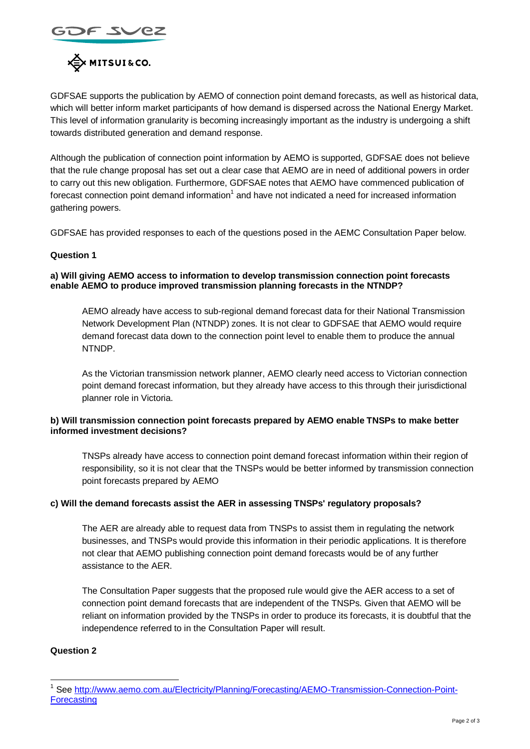



GDFSAE supports the publication by AEMO of connection point demand forecasts, as well as historical data, which will better inform market participants of how demand is dispersed across the National Energy Market. This level of information granularity is becoming increasingly important as the industry is undergoing a shift towards distributed generation and demand response.

Although the publication of connection point information by AEMO is supported, GDFSAE does not believe that the rule change proposal has set out a clear case that AEMO are in need of additional powers in order to carry out this new obligation. Furthermore, GDFSAE notes that AEMO have commenced publication of forecast connection point demand information<sup>1</sup> and have not indicated a need for increased information gathering powers.

GDFSAE has provided responses to each of the questions posed in the AEMC Consultation Paper below.

## **Question 1**

#### **a) Will giving AEMO access to information to develop transmission connection point forecasts enable AEMO to produce improved transmission planning forecasts in the NTNDP?**

AEMO already have access to sub-regional demand forecast data for their National Transmission Network Development Plan (NTNDP) zones. It is not clear to GDFSAE that AEMO would require demand forecast data down to the connection point level to enable them to produce the annual NTNDP.

As the Victorian transmission network planner, AEMO clearly need access to Victorian connection point demand forecast information, but they already have access to this through their jurisdictional planner role in Victoria.

## **b) Will transmission connection point forecasts prepared by AEMO enable TNSPs to make better informed investment decisions?**

TNSPs already have access to connection point demand forecast information within their region of responsibility, so it is not clear that the TNSPs would be better informed by transmission connection point forecasts prepared by AEMO

## **c) Will the demand forecasts assist the AER in assessing TNSPs' regulatory proposals?**

The AER are already able to request data from TNSPs to assist them in regulating the network businesses, and TNSPs would provide this information in their periodic applications. It is therefore not clear that AEMO publishing connection point demand forecasts would be of any further assistance to the AER.

The Consultation Paper suggests that the proposed rule would give the AER access to a set of connection point demand forecasts that are independent of the TNSPs. Given that AEMO will be reliant on information provided by the TNSPs in order to produce its forecasts, it is doubtful that the independence referred to in the Consultation Paper will result.

# **Question 2**

1

<sup>1</sup> See [http://www.aemo.com.au/Electricity/Planning/Forecasting/AEMO-Transmission-Connection-Point-](http://www.aemo.com.au/Electricity/Planning/Forecasting/AEMO-Transmission-Connection-Point-Forecasting)**[Forecasting](http://www.aemo.com.au/Electricity/Planning/Forecasting/AEMO-Transmission-Connection-Point-Forecasting)**